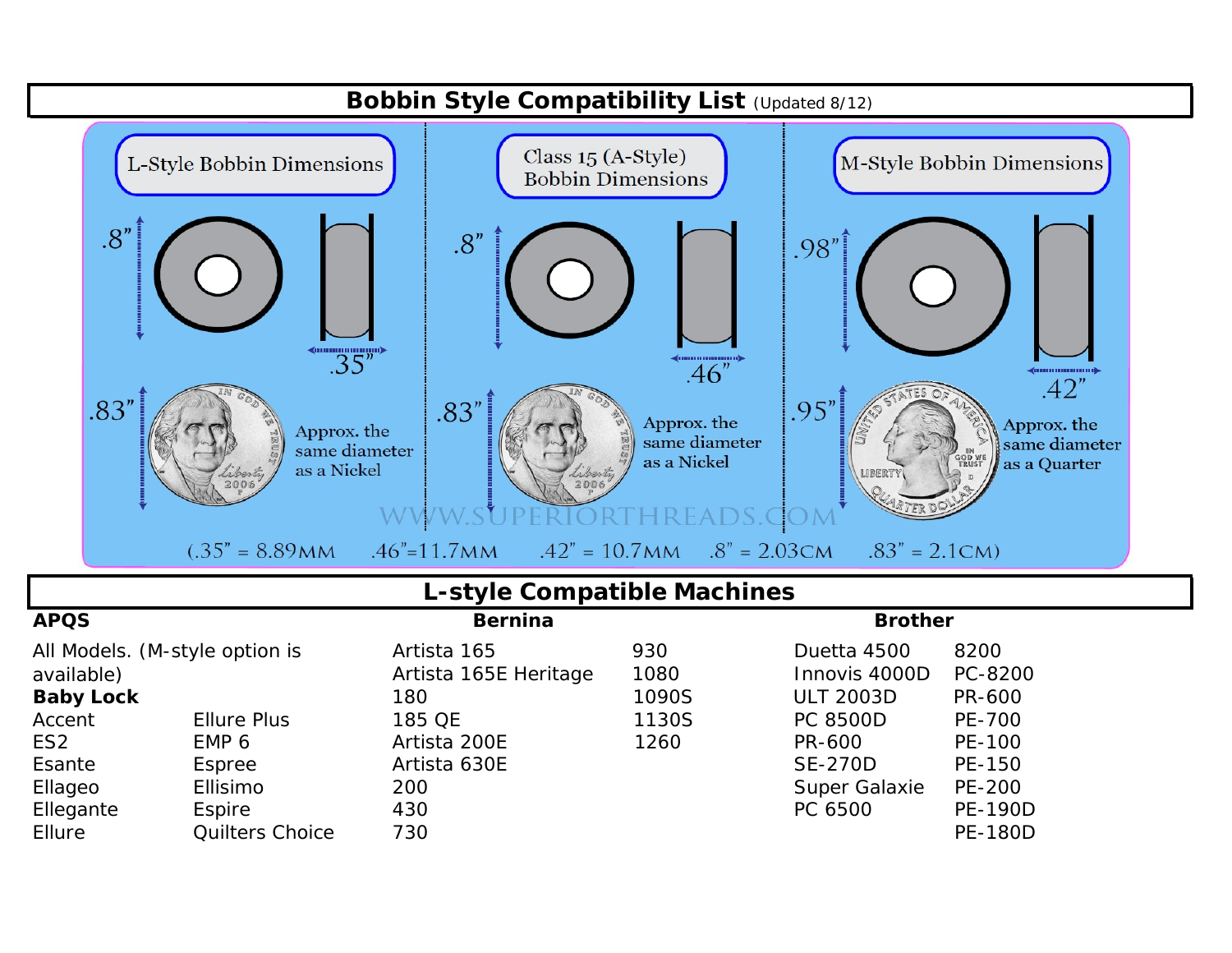

### *L-style Compatible Machines*

| <b>APQS</b>                    |                        | <b>Bernina</b>        |       | <b>Brother</b>       |                |
|--------------------------------|------------------------|-----------------------|-------|----------------------|----------------|
| All Models. (M-style option is |                        | Artista 165           | 930   | Duetta 4500          | 8200           |
| available)                     |                        | Artista 165E Heritage | 1080  | Innovis 4000D        | PC-8200        |
| <b>Baby Lock</b>               |                        | 180                   | 1090S | <b>ULT 2003D</b>     | PR-600         |
| Accent                         | <b>Ellure Plus</b>     | 185 QE                | 1130S | <b>PC 8500D</b>      | PE-700         |
| ES <sub>2</sub>                | EMP 6                  | Artista 200E          | 1260  | PR-600               | PE-100         |
| Esante                         | Espree                 | Artista 630E          |       | <b>SE-270D</b>       | PE-150         |
| Ellageo                        | Ellisimo               | 200                   |       | <b>Super Galaxie</b> | PE-200         |
| Ellegante                      | Espire                 | 430                   |       | PC 6500              | <b>PE-190D</b> |
| Ellure                         | <b>Quilters Choice</b> | 730                   |       |                      | <b>PE-180D</b> |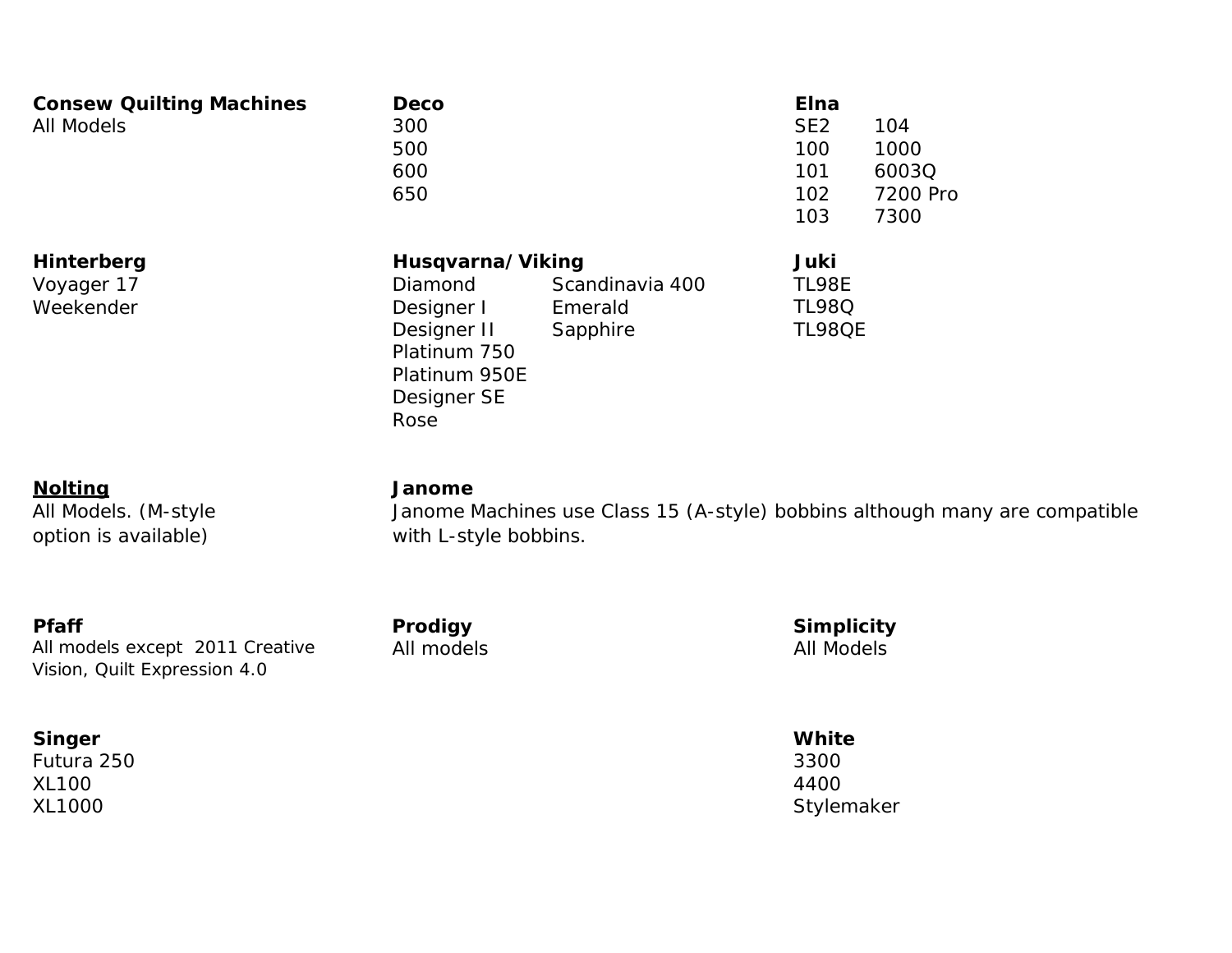| <b>Consew Quilting Machines</b><br><b>All Models</b> | <b>Deco</b><br>300<br>500<br>600<br>650                                                                                 |                                        | <b>Elna</b><br>SE <sub>2</sub><br>100<br>101<br>102<br>103 | 104<br>1000<br>6003Q<br>7200 Pro<br>7300 |
|------------------------------------------------------|-------------------------------------------------------------------------------------------------------------------------|----------------------------------------|------------------------------------------------------------|------------------------------------------|
| Hinterberg<br>Voyager 17<br>Weekender                | Husqvarna/Viking<br><b>Diamond</b><br>Designer I<br>Designer II<br>Platinum 750<br>Platinum 950E<br>Designer SE<br>Rose | Scandinavia 400<br>Emerald<br>Sapphire | Juki<br><b>TL98E</b><br><b>TL98Q</b><br><b>TL98QE</b>      |                                          |

### **Nolting Janome** All Models. (M-style

option is available)

Janome Machines use Class 15 (A-style) bobbins although many are compatible with L-style bobbins.

**Pfaff Prodigy Simplicity** All models except 2011 Creative Vision, Quilt Expression 4.0

#### **Singer White**

Futura 250 3300 XL100 4400

All models All Models

XL1000 Stylemaker